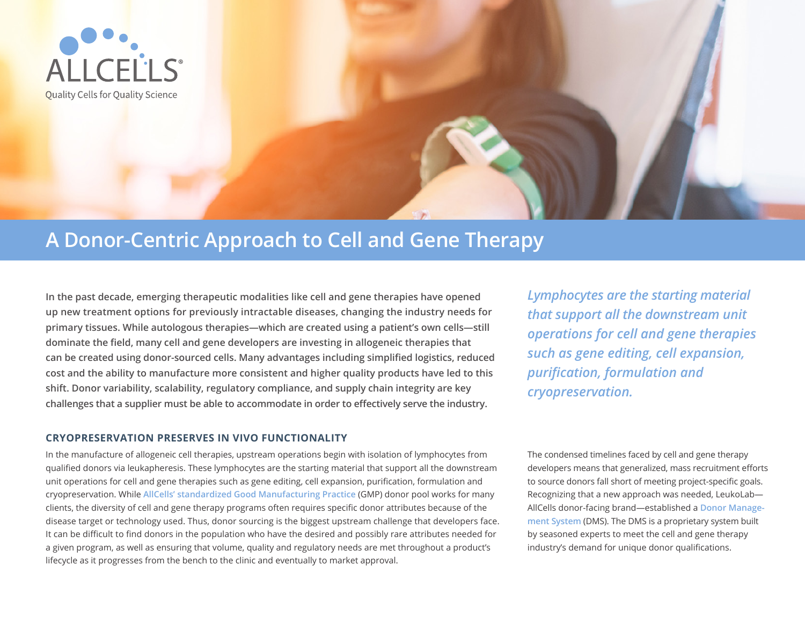

# **A Donor-Centric Approach to Cell and Gene Therapy**

**In the past decade, emerging therapeutic modalities like cell and gene therapies have opened up new treatment options for previously intractable diseases, changing the industry needs for primary tissues. While autologous therapies—which are created using a patient's own cells—still dominate the field, many cell and gene developers are investing in allogeneic therapies that can be created using donor-sourced cells. Many advantages including simplified logistics, reduced cost and the ability to manufacture more consistent and higher quality products have led to this shift. Donor variability, scalability, regulatory compliance, and supply chain integrity are key challenges that a supplier must be able to accommodate in order to effectively serve the industry.** 

#### **CRYOPRESERVATION PRESERVES IN VIVO FUNCTIONALITY**

In the manufacture of allogeneic cell therapies, upstream operations begin with isolation of lymphocytes from qualified donors via leukapheresis. These lymphocytes are the starting material that support all the downstream unit operations for cell and gene therapies such as gene editing, cell expansion, purification, formulation and cryopreservation. While **[AllCells' standardized Good Manufacturing Practice](https://allcells.com/clinical-grade/)** (GMP) donor pool works for many clients, the diversity of cell and gene therapy programs often requires specific donor attributes because of the disease target or technology used. Thus, donor sourcing is the biggest upstream challenge that developers face. It can be difficult to find donors in the population who have the desired and possibly rare attributes needed for a given program, as well as ensuring that volume, quality and regulatory needs are met throughout a product's lifecycle as it progresses from the bench to the clinic and eventually to market approval.

*Lymphocytes are the starting material that support all the downstream unit operations for cell and gene therapies such as gene editing, cell expansion, purification, formulation and cryopreservation.*

The condensed timelines faced by cell and gene therapy developers means that generalized, mass recruitment efforts to source donors fall short of meeting project-specific goals. Recognizing that a new approach was needed, LeukoLab— AllCells donor-facing brand—established a **[Donor Manage](https://allcells.com/services/donor-management-program/)[ment System](https://allcells.com/services/donor-management-program/)** (DMS). The DMS is a proprietary system built by seasoned experts to meet the cell and gene therapy industry's demand for unique donor qualifications.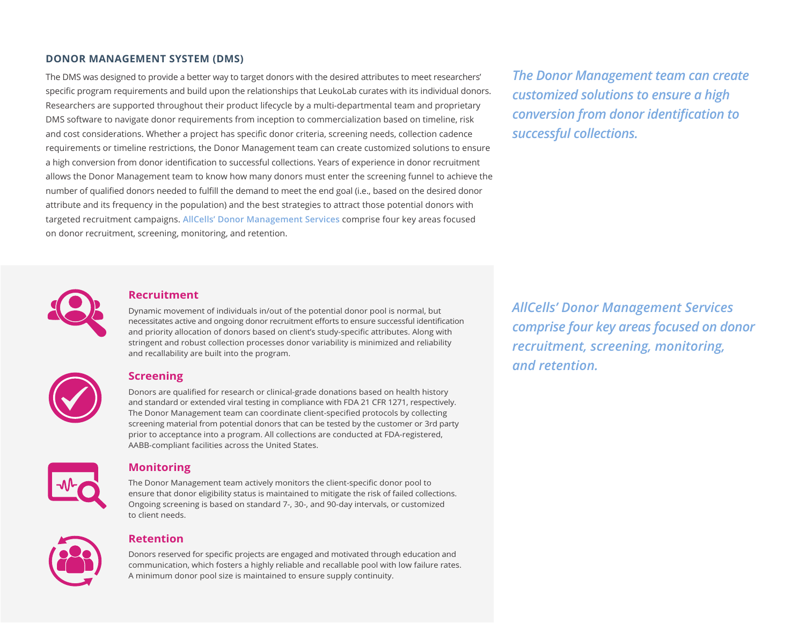# **DONOR MANAGEMENT SYSTEM (DMS)**

The DMS was designed to provide a better way to target donors with the desired attributes to meet researchers' specific program requirements and build upon the relationships that LeukoLab curates with its individual donors. Researchers are supported throughout their product lifecycle by a multi-departmental team and proprietary DMS software to navigate donor requirements from inception to commercialization based on timeline, risk and cost considerations. Whether a project has specific donor criteria, screening needs, collection cadence requirements or timeline restrictions, the Donor Management team can create customized solutions to ensure a high conversion from donor identification to successful collections. Years of experience in donor recruitment allows the Donor Management team to know how many donors must enter the screening funnel to achieve the number of qualified donors needed to fulfill the demand to meet the end goal (i.e., based on the desired donor attribute and its frequency in the population) and the best strategies to attract those potential donors with targeted recruitment campaigns. **[AllCells' Donor Management Services](https://allcells.com/services/donor-management-program/)** comprise four key areas focused on donor recruitment, screening, monitoring, and retention.

*The Donor Management team can create customized solutions to ensure a high conversion from donor identification to successful collections.*



#### **Recruitment**

Dynamic movement of individuals in/out of the potential donor pool is normal, but necessitates active and ongoing donor recruitment efforts to ensure successful identification and priority allocation of donors based on client's study-specific attributes. Along with stringent and robust collection processes donor variability is minimized and reliability and recallability are built into the program.



# **Screening**

Donors are qualified for research or clinical-grade donations based on health history and standard or extended viral testing in compliance with FDA 21 CFR 1271, respectively. The Donor Management team can coordinate client-specified protocols by collecting screening material from potential donors that can be tested by the customer or 3rd party prior to acceptance into a program. All collections are conducted at FDA-registered, AABB-compliant facilities across the United States.



# **Monitoring**

The Donor Management team actively monitors the client-specific donor pool to ensure that donor eligibility status is maintained to mitigate the risk of failed collections. Ongoing screening is based on standard 7-, 30-, and 90-day intervals, or customized to client needs.



#### **Retention**

Donors reserved for specific projects are engaged and motivated through education and communication, which fosters a highly reliable and recallable pool with low failure rates. A minimum donor pool size is maintained to ensure supply continuity.

*AllCells' Donor Management Services comprise four key areas focused on donor recruitment, screening, monitoring, and retention.*